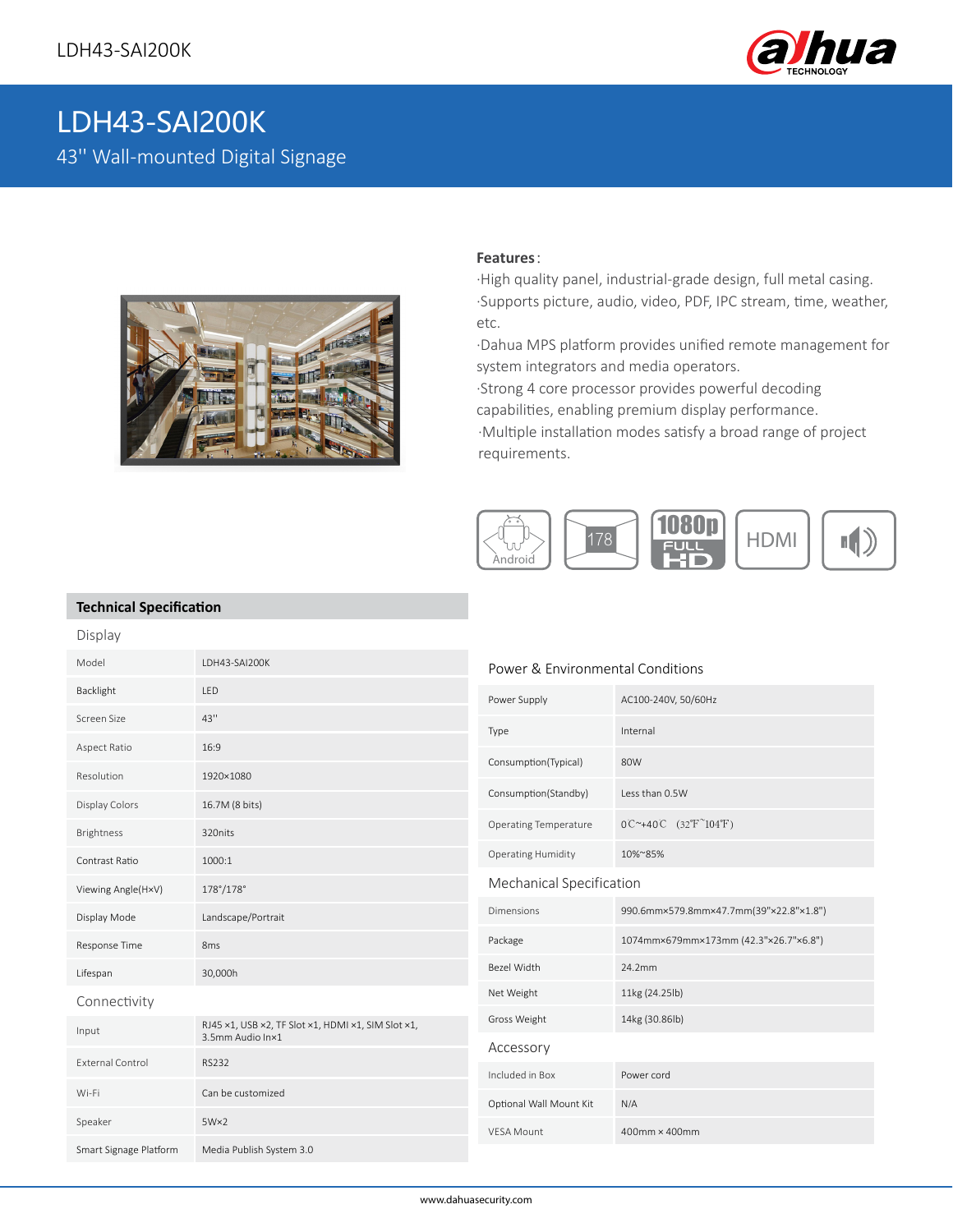

# LDH43-SAI200K 43'' Wall-mounted Digital Signage



#### **Features**:

·High quality panel, industrial-grade design, full metal casing. ·Supports picture, audio, video, PDF, IPC stream, time, weather, etc.

·Dahua MPS platform provides unified remote management for system integrators and media operators.

·Strong 4 core processor provides powerful decoding capabilities, enabling premium display performance.

·Multiple installation modes satisfy a broad range of project requirements.



### **Technical Specification**

| Display                 |                                                                        |                                  |                                                                       |
|-------------------------|------------------------------------------------------------------------|----------------------------------|-----------------------------------------------------------------------|
| Model                   | LDH43-SAI200K                                                          | Power & Environmental Conditions |                                                                       |
| Backlight               | LED                                                                    | Power Supply                     | AC100-240V, 50/60Hz                                                   |
| Screen Size             | 43"                                                                    | Type                             | Internal                                                              |
| Aspect Ratio            | 16:9                                                                   | Consumption(Typical)             | 80W                                                                   |
| Resolution              | 1920×1080                                                              |                                  |                                                                       |
| Display Colors          | 16.7M (8 bits)                                                         | Consumption(Standby)             | Less than 0.5W                                                        |
| Brightness              | 320nits                                                                | <b>Operating Temperature</b>     | $0^{\circ}$ +40°C $(32^{\circ}$ F <sup><math>\sim</math></sup> 104°F) |
| Contrast Ratio          | 1000:1                                                                 | <b>Operating Humidity</b>        | 10%~85%                                                               |
| Viewing Angle(H×V)      | 178°/178°                                                              | Mechanical Specification         |                                                                       |
| Display Mode            | Landscape/Portrait                                                     | <b>Dimensions</b>                | 990.6mm×579.8mm×47.7mm(39"×22.8"×1.8")                                |
| Response Time           | 8 <sub>ms</sub>                                                        | Package                          | 1074mm×679mm×173mm (42.3"×26.7"×6.8")                                 |
| Lifespan                | 30,000h                                                                | Bezel Width                      | 24.2mm                                                                |
| Connectivity            |                                                                        | Net Weight                       | 11kg (24.25lb)                                                        |
| Input                   | RJ45 ×1, USB ×2, TF Slot ×1, HDMI ×1, SIM Slot ×1,<br>3.5mm Audio In×1 | Gross Weight                     | 14kg (30.86lb)                                                        |
| <b>External Control</b> | <b>RS232</b>                                                           | Accessory                        |                                                                       |
|                         |                                                                        | Included in Box                  | Power cord                                                            |
| Wi-Fi                   | Can be customized                                                      | Optional Wall Mount Kit          | N/A                                                                   |
| Speaker                 | $5W\times2$                                                            | <b>VESA Mount</b>                | 400mm × 400mm                                                         |
| Smart Signage Platform  | Media Publish System 3.0                                               |                                  |                                                                       |